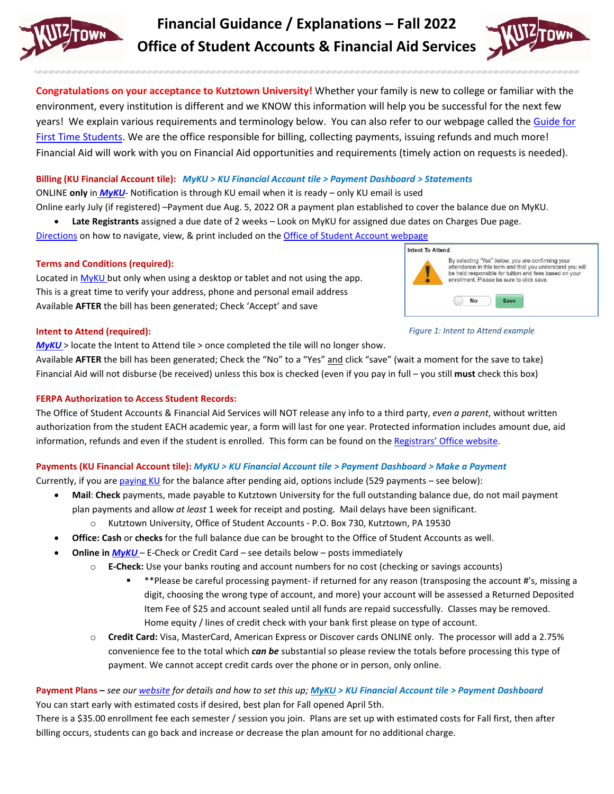

# **Financial Guidance / Explanations – Fall 2022 Office of Student Accounts & Financial Aid Services**



**Congratulations on your acceptance to Kutztown University!** Whether your family is new to college or familiar with the environment, every institution is different and we KNOW this information will help you be successful for the next few years! We explain various requirements and terminology below. You can also refer to our webpage called the [Guide for](https://www.kutztown.edu/affordability/guide-for-first-time-students.html)  [First Time Students.](https://www.kutztown.edu/affordability/guide-for-first-time-students.html) We are the office responsible for billing, collecting payments, issuing refunds and much more! Financial Aid will work with you on Financial Aid opportunities and requirements (timely action on requests is needed).

# **Billing (KU Financial Account tile):** *MyKU > KU Financial Account tile > Payment Dashboard > Statements*

ONLINE **only** in *[MyKU](https://myku.kutztown.edu/)*- Notification is through KU email when it is ready – only KU email is used

Online early July (if registered) –Payment due Aug. 5, 2022 OR a payment plan established to cover the balance due on MyKU.

• **Late Registrants** assigned a due date of 2 weeks – Look on MyKU for assigned due dates on Charges Due page.

[Directions](https://www.kutztown.edu/affordability/bills-and-paying-your-tuition/viewing-your-bills.html) on how to navigate, view, & print included on the Office of [Student Account webpage](https://www.kutztown.edu/about-ku/administrative-offices/student-accounts.html)

# **Terms and Conditions (required):**

Located in [MyKU b](https://myku.kutztown.edu/)ut only when using a desktop or tablet and not using the app. This is a great time to verify your address, phone and personal email address Available **AFTER** the bill has been generated; Check 'Accept' and save



*Figure 1: Intent to Attend example*

#### **Intent to Attend (required):**

*[MyKU](https://myku.kutztown.edu/)* > locate the Intent to Attend tile > once completed the tile will no longer show.

Available **AFTER** the bill has been generated; Check the "No" to a "Yes" and click "save" (wait a moment for the save to take) Financial Aid will not disburse (be received) unless this box is checked (even if you pay in full – you still **must** check this box)

# **FERPA Authorization to Access Student Records:**

The Office of Student Accounts & Financial Aid Services will NOT release any info to a third party, *even a parent*, without written authorization from the student EACH academic year, a form will last for one year. Protected information includes amount due, aid information, refunds and even if the student is enrolled. This form can be found on the [Registrars' Office website.](https://www.kutztown.edu/about-ku/administrative-offices/registrar/ferpa.html)

# **Payments (KU Financial Account tile):** *MyKU > KU Financial Account tile > Payment Dashboard > Make a Payment*

Currently, if you are [paying KU](https://www.kutztown.edu/affordability/bills-and-paying-your-tuition.html) for the balance after pending aid, options include (529 payments – see below):

- **Mail**: **Check** payments, made payable to Kutztown University for the full outstanding balance due, do not mail payment plan payments and allow *at least* 1 week for receipt and posting. Mail delays have been significant.
	- o Kutztown University, Office of Student Accounts P.O. Box 730, Kutztown, PA 19530
- **Office: Cash** or **checks** for the full balance due can be brought to the Office of Student Accounts as well.
- **Online in** *[MyKU](https://myku.kutztown.edu/)* E-Check or Credit Card see details below posts immediately
	- o **E-Check:** Use your banks routing and account numbers for no cost (checking or savings accounts)
		- \*\*Please be careful processing payment- if returned for any reason (transposing the account #'s, missing a digit, choosing the wrong type of account, and more) your account will be assessed a Returned Deposited Item Fee of \$25 and account sealed until all funds are repaid successfully. Classes may be removed. Home equity / lines of credit check with your bank first please on type of account.
	- o **Credit Card:** Visa, MasterCard, American Express or Discover cards ONLINE only. The processor will add a 2.75% convenience fee to the total which *can be* substantial so please review the totals before processing this type of payment. We cannot accept credit cards over the phone or in person, only online.

# **Payment Plans –** *see ou[r website](https://www.kutztown.edu/affordability/bills-and-paying-your-tuition/payment-plans.html) for details and how to set this up; [MyKU](https://myku.kutztown.edu/) > KU Financial Account tile > Payment Dashboard* You can start early with estimated costs if desired, best plan for Fall opened April 5th.

There is a \$35.00 enrollment fee each semester / session you join. Plans are set up with estimated costs for Fall first, then after billing occurs, students can go back and increase or decrease the plan amount for no additional charge.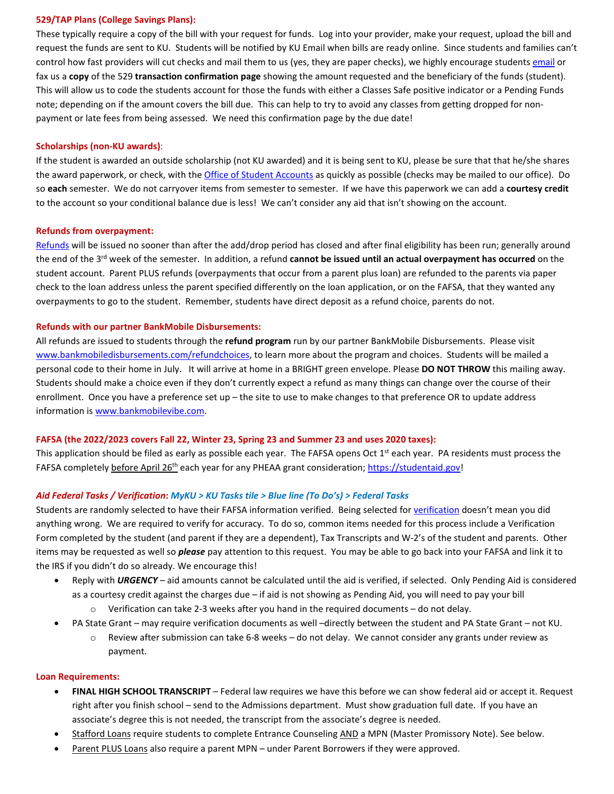#### **529/TAP Plans (College Savings Plans):**

These typically require a copy of the bill with your request for funds. Log into your provider, make your request, upload the bill and request the funds are sent to KU. Students will be notified by KU Email when bills are ready online. Since students and families can't control how fast providers will cut checks and mail them to us (yes, they are paper checks), we highly encourage students [email](mailto:studentaccounts@kutztown.edu?subject=529%20proof%20for%20Fall%202022) or fax us a **copy** of the 529 **transaction confirmation page** showing the amount requested and the beneficiary of the funds (student). This will allow us to code the students account for those the funds with either a Classes Safe positive indicator or a Pending Funds note; depending on if the amount covers the bill due. This can help to try to avoid any classes from getting dropped for nonpayment or late fees from being assessed. We need this confirmation page by the due date!

#### **Scholarships (non-KU awards)**:

If the student is awarded an outside scholarship (not KU awarded) and it is being sent to KU, please be sure that that he/she shares the award paperwork, or check, with th[e Office of Student Accounts](mailto:studentaccounts@kutztown.edu?subject=Scholarships%20from%20Freshman%20Guide%20page%20handout%20Fall%202022) as quickly as possible (checks may be mailed to our office). Do so **each** semester. We do not carryover items from semester to semester. If we have this paperwork we can add a **courtesy credit** to the account so your conditional balance due is less! We can't consider any aid that isn't showing on the account.

#### **Refunds from overpayment:**

[Refunds](https://www.kutztown.edu/about-ku/administrative-offices/student-accounts/refunds.html) will be issued no sooner than after the add/drop period has closed and after final eligibility has been run; generally around the end of the 3rd week of the semester. In addition, a refund **cannot be issued until an actual overpayment has occurred** on the student account. Parent PLUS refunds (overpayments that occur from a parent plus loan) are refunded to the parents via paper check to the loan address unless the parent specified differently on the loan application, or on the FAFSA, that they wanted any overpayments to go to the student. Remember, students have direct deposit as a refund choice, parents do not.

#### **Refunds with our partner BankMobile Disbursements:**

All refunds are issued to students through the **refund program** run by our partner BankMobile Disbursements. Please visit [www.bankmobiledisbursements.com/refundchoices,](http://www.bankmobiledisbursements.com/refundchoices) to learn more about the program and choices. Students will be mailed a personal code to their home in July. It will arrive at home in a BRIGHT green envelope. Please **DO NOT THROW** this mailing away. Students should make a choice even if they don't currently expect a refund as many things can change over the course of their enrollment. Once you have a preference set up – the site to use to make changes to that preference OR to update address information is [www.bankmobilevibe.com.](http://www.bankmobilevibe.com/)

#### **FAFSA (the 2022/2023 covers Fall 22, Winter 23, Spring 23 and Summer 23 and uses 2020 taxes):**

This application should be filed as early as possible each year. The FAFSA opens Oct  $1<sup>st</sup>$  each year. PA residents must process the FAFSA completely before April 26th each year for any PHEAA grant consideration[; https://studentaid.gov!](https://studentaid.gov/)

#### *Aid Federal Tasks / Verification***:** *MyKU > KU Tasks tile > Blue line (To Do's) > Federal Tasks*

Students are randomly selected to have their FAFSA information verified. Being selected fo[r verification](https://www.kutztown.edu/about-ku/administrative-offices/financial-aid/verification.html) doesn't mean you did anything wrong. We are required to verify for accuracy. To do so, common items needed for this process include a Verification Form completed by the student (and parent if they are a dependent), Tax Transcripts and W-2's of the student and parents. Other items may be requested as well so *please* pay attention to this request. You may be able to go back into your FAFSA and link it to the IRS if you didn't do so already. We encourage this!

- Reply with *URGENCY* aid amounts cannot be calculated until the aid is verified, if selected. Only Pending Aid is considered as a courtesy credit against the charges due – if aid is not showing as Pending Aid, you will need to pay your bill
	- $\circ$  Verification can take 2-3 weeks after you hand in the required documents do not delay.
- PA State Grant may require verification documents as well –directly between the student and PA State Grant not KU.
	- $\circ$  Review after submission can take 6-8 weeks do not delay. We cannot consider any grants under review as payment.

#### **Loan Requirements:**

- **FINAL HIGH SCHOOL TRANSCRIPT** Federal law requires we have this before we can show federal aid or accept it. Request right after you finish school – send to the Admissions department. Must show graduation full date. If you have an associate's degree this is not needed, the transcript from the associate's degree is needed.
- Stafford Loans require students to complete Entrance Counseling AND a MPN (Master Promissory Note). See below.
- Parent PLUS Loans also require a parent MPN under Parent Borrowers if they were approved.